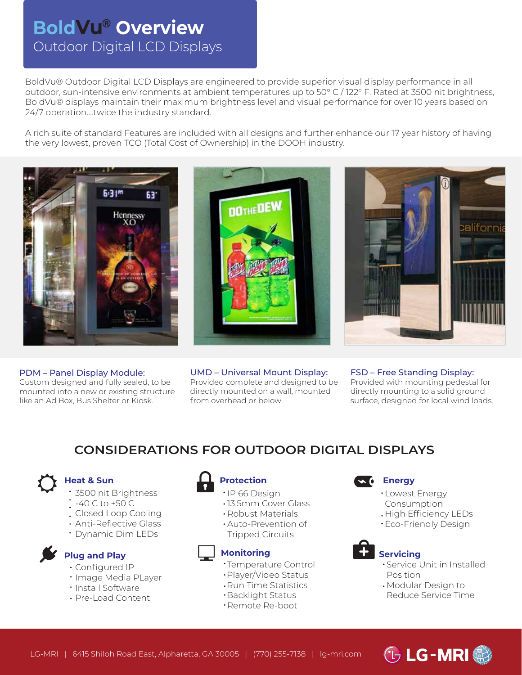# Outdoor Digital LCD Displays **BoldVu® Overview**

BoldVu® Outdoor Digital LCD Displays are engineered to provide superior visual display performance in all outdoor, sun-intensive environments at ambient temperatures up to 50° C / 122° F. Rated at 3500 nit brightness, BoldVu® displays maintain their maximum brightness level and visual performance for over 10 years based on 24/7 operation….twice the industry standard.

A rich suite of standard Features are included with all designs and further enhance our 17 year history of having the very lowest, proven TCO (Total Cost of Ownership) in the DOOH industry.



PDM – Panel Display Module: Custom designed and fully sealed, to be mounted into a new or existing structure like an Ad Box, Bus Shelter or Kiosk.





UMD – Universal Mount Display: Provided complete and designed to be directly mounted on a wall, mounted from overhead or below.

FSD – Free Standing Display: Provided with mounting pedestal for directly mounting to a solid ground surface, designed for local wind loads.

## **CONSIDERATIONS FOR OUTDOOR DIGITAL DISPLAYS**



#### **Heat & Sun**

- 3500 nit Brightness
- -40 C to +50 C
- Closed Loop Cooling
- Anti-Reflective Glass
- Dynamic Dim LEDs



#### **Plug and Play**

- Configured IP
- · Image Media PLayer
- Install Software
- Pre-Load Content



#### **Protection Energy**

- · IP 66 Design
- 13.5mm Cover Glass
- Robust Materials
- Auto-Prevention of Tripped Circuits

- Temperature Control
- Player/Video Status
- Run Time Statistics
- Backlight Status
- Remote Re-boot

- Lowest Energy
- Consumption
- High Efficiency LEDs
- Eco-Friendly Design



#### **Monitoring Servicing**

- Service Unit in Installed Position
- Modular Design to Reduce Service Time



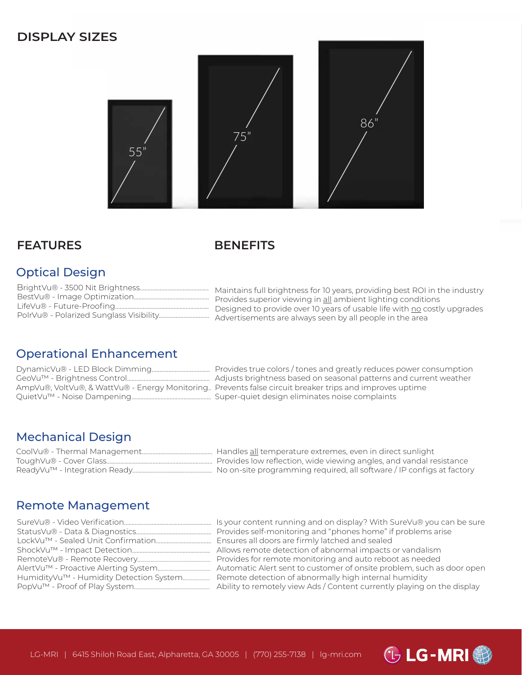## **DISPLAY SIZES**



### **FEATURES**

### **BENEFITS**

## Optical Design

| Maintains full brightness for 10 years, providing best ROI in the industry                                                           |
|--------------------------------------------------------------------------------------------------------------------------------------|
| Provides superior viewing in all ambient lighting conditions                                                                         |
| Designed to provide over 10 years of usable life with no costly upgrades<br>Advertisements are always seen by all people in the area |

## Operational Enhancement

| AmpVu®, VoltVu®, & WattVu® - Energy Monitoring |
|------------------------------------------------|
|                                                |

Provides true colors / tones and greatly reduces power consumption Adjusts brightness based on seasonal patterns and current weather Prevents false circuit breaker trips and improves uptime Super-quiet design eliminates noise complaints

*GLG-MRI<sup>®</sup>* 

## Mechanical Design

| CoolVu® - Thermal Management | Handles all temperature extremes, even in direct sunlight             |
|------------------------------|-----------------------------------------------------------------------|
| ToughVu® - Cover Glass       | Provides low reflection, wide viewing angles, and vandal resistance   |
| ReadyVu™ - Integration Ready | No on-site programming required, all software / IP configs at factory |

## Remote Management

| Is your content running and on display? With SureVu® you can be sure    |
|-------------------------------------------------------------------------|
|                                                                         |
| Ensures all doors are firmly latched and sealed                         |
|                                                                         |
| Provides for remote monitoring and auto reboot as needed                |
| Automatic Alert sent to customer of onsite problem, such as door open   |
| Remote detection of abnormally high internal humidity                   |
| Ability to remotely view Ads / Content currently playing on the display |
|                                                                         |